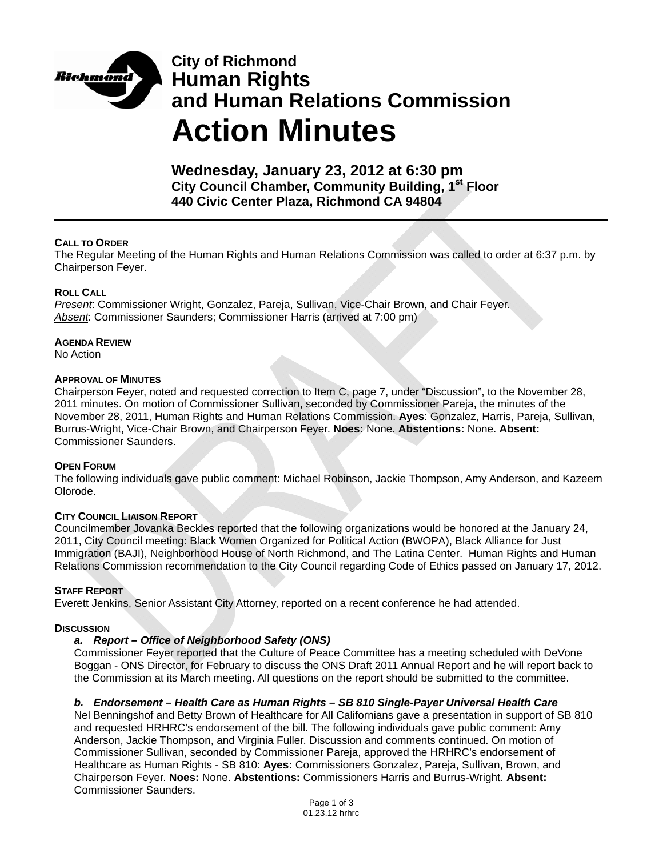

# **City of Richmond Human Rights and Human Relations Commission Action Minutes**

**Wednesday, January 23, 2012 at 6:30 pm City Council Chamber, Community Building, 1st Floor 440 Civic Center Plaza, Richmond CA 94804** 

## **CALL TO ORDER**

The Regular Meeting of the Human Rights and Human Relations Commission was called to order at 6:37 p.m. by Chairperson Feyer.

#### **ROLL CALL**

*Present*: Commissioner Wright, Gonzalez, Pareja, Sullivan, Vice-Chair Brown, and Chair Feyer. *Absent*: Commissioner Saunders; Commissioner Harris (arrived at 7:00 pm)

**AGENDA REVIEW**

No Action

#### **APPROVAL OF MINUTES**

Chairperson Feyer, noted and requested correction to Item C, page 7, under "Discussion", to the November 28, 2011 minutes. On motion of Commissioner Sullivan, seconded by Commissioner Pareja, the minutes of the November 28, 2011, Human Rights and Human Relations Commission. **Ayes**: Gonzalez, Harris, Pareja, Sullivan, Burrus-Wright, Vice-Chair Brown, and Chairperson Feyer. **Noes:** None. **Abstentions:** None. **Absent:** Commissioner Saunders.

#### **OPEN FORUM**

The following individuals gave public comment: Michael Robinson, Jackie Thompson, Amy Anderson, and Kazeem Olorode.

#### **CITY COUNCIL LIAISON REPORT**

Councilmember Jovanka Beckles reported that the following organizations would be honored at the January 24, 2011, City Council meeting: Black Women Organized for Political Action (BWOPA), Black Alliance for Just Immigration (BAJI), Neighborhood House of North Richmond, and The Latina Center. Human Rights and Human Relations Commission recommendation to the City Council regarding Code of Ethics passed on January 17, 2012.

#### **STAFF REPORT**

Everett Jenkins, Senior Assistant City Attorney, reported on a recent conference he had attended.

#### **DISCUSSION**

#### *a. Report – Office of Neighborhood Safety (ONS)*

Commissioner Feyer reported that the Culture of Peace Committee has a meeting scheduled with DeVone Boggan - ONS Director, for February to discuss the ONS Draft 2011 Annual Report and he will report back to the Commission at its March meeting. All questions on the report should be submitted to the committee.

#### *b. Endorsement – Health Care as Human Rights – SB 810 Single-Payer Universal Health Care*

Nel Benningshof and Betty Brown of Healthcare for All Californians gave a presentation in support of SB 810 and requested HRHRC's endorsement of the bill. The following individuals gave public comment: Amy Anderson, Jackie Thompson, and Virginia Fuller. Discussion and comments continued. On motion of Commissioner Sullivan, seconded by Commissioner Pareja, approved the HRHRC's endorsement of Healthcare as Human Rights - SB 810: **Ayes:** Commissioners Gonzalez, Pareja, Sullivan, Brown, and Chairperson Feyer. **Noes:** None. **Abstentions:** Commissioners Harris and Burrus-Wright. **Absent:** Commissioner Saunders.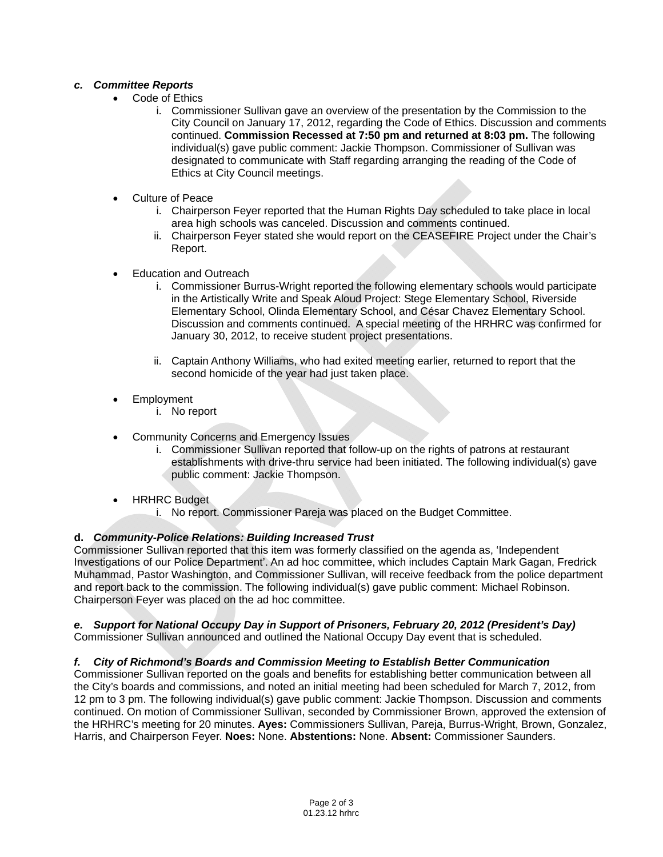## *c. Committee Reports*

- Code of Ethics
	- i. Commissioner Sullivan gave an overview of the presentation by the Commission to the City Council on January 17, 2012, regarding the Code of Ethics. Discussion and comments continued. **Commission Recessed at 7:50 pm and returned at 8:03 pm.** The following individual(s) gave public comment: Jackie Thompson. Commissioner of Sullivan was designated to communicate with Staff regarding arranging the reading of the Code of Ethics at City Council meetings.
- Culture of Peace
	- i. Chairperson Feyer reported that the Human Rights Day scheduled to take place in local area high schools was canceled. Discussion and comments continued.
	- ii. Chairperson Feyer stated she would report on the CEASEFIRE Project under the Chair's Report.
- **Education and Outreach** 
	- i. Commissioner Burrus-Wright reported the following elementary schools would participate in the Artistically Write and Speak Aloud Project: Stege Elementary School, Riverside Elementary School, Olinda Elementary School, and César Chavez Elementary School. Discussion and comments continued. A special meeting of the HRHRC was confirmed for January 30, 2012, to receive student project presentations.
	- ii. Captain Anthony Williams, who had exited meeting earlier, returned to report that the second homicide of the year had just taken place.
- **Employment** 
	- i. No report
- Community Concerns and Emergency Issues
	- i. Commissioner Sullivan reported that follow-up on the rights of patrons at restaurant establishments with drive-thru service had been initiated. The following individual(s) gave public comment: Jackie Thompson.
- **HRHRC Budget** 
	- i. No report. Commissioner Pareja was placed on the Budget Committee.

# **d.** *Community-Police Relations: Building Increased Trust*

Commissioner Sullivan reported that this item was formerly classified on the agenda as, 'Independent Investigations of our Police Department'. An ad hoc committee, which includes Captain Mark Gagan, Fredrick Muhammad, Pastor Washington, and Commissioner Sullivan, will receive feedback from the police department and report back to the commission. The following individual(s) gave public comment: Michael Robinson. Chairperson Feyer was placed on the ad hoc committee.

# *e. Support for National Occupy Day in Support of Prisoners, February 20, 2012 (President's Day)*

Commissioner Sullivan announced and outlined the National Occupy Day event that is scheduled.

## *f. City of Richmond's Boards and Commission Meeting to Establish Better Communication*

Commissioner Sullivan reported on the goals and benefits for establishing better communication between all the City's boards and commissions, and noted an initial meeting had been scheduled for March 7, 2012, from 12 pm to 3 pm. The following individual(s) gave public comment: Jackie Thompson. Discussion and comments continued. On motion of Commissioner Sullivan, seconded by Commissioner Brown, approved the extension of the HRHRC's meeting for 20 minutes. **Ayes:** Commissioners Sullivan, Pareja, Burrus-Wright, Brown, Gonzalez, Harris, and Chairperson Feyer. **Noes:** None. **Abstentions:** None. **Absent:** Commissioner Saunders.